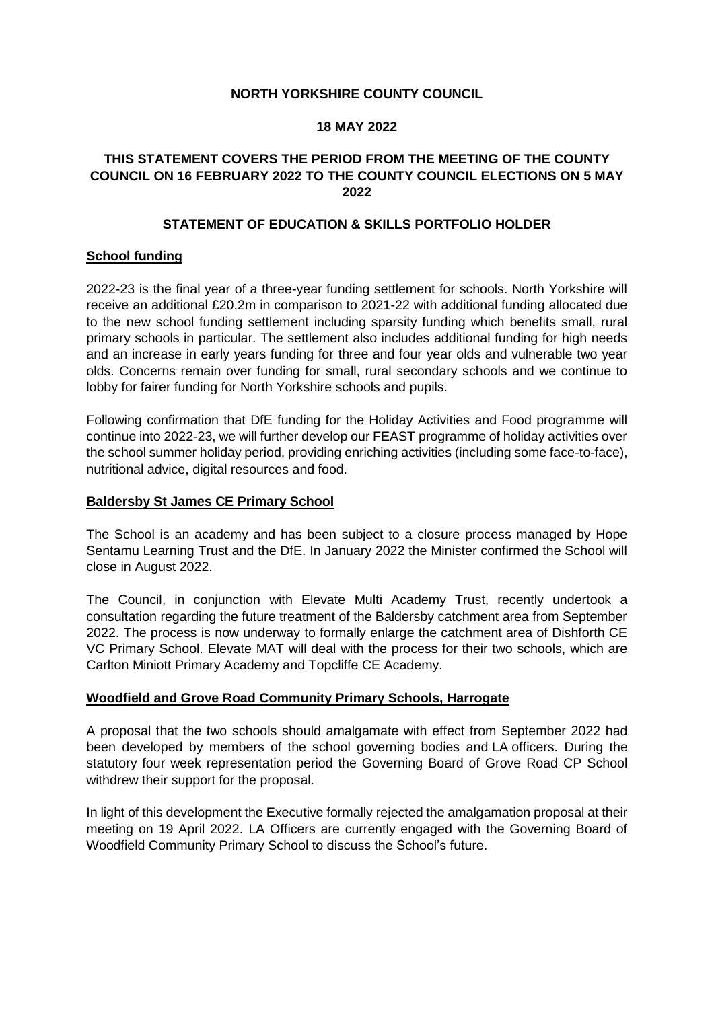# **NORTH YORKSHIRE COUNTY COUNCIL**

#### **18 MAY 2022**

# **THIS STATEMENT COVERS THE PERIOD FROM THE MEETING OF THE COUNTY COUNCIL ON 16 FEBRUARY 2022 TO THE COUNTY COUNCIL ELECTIONS ON 5 MAY 2022**

# **STATEMENT OF EDUCATION & SKILLS PORTFOLIO HOLDER**

# **School funding**

2022-23 is the final year of a three-year funding settlement for schools. North Yorkshire will receive an additional £20.2m in comparison to 2021-22 with additional funding allocated due to the new school funding settlement including sparsity funding which benefits small, rural primary schools in particular. The settlement also includes additional funding for high needs and an increase in early years funding for three and four year olds and vulnerable two year olds. Concerns remain over funding for small, rural secondary schools and we continue to lobby for fairer funding for North Yorkshire schools and pupils.

Following confirmation that DfE funding for the Holiday Activities and Food programme will continue into 2022-23, we will further develop our FEAST programme of holiday activities over the school summer holiday period, providing enriching activities (including some face-to-face), nutritional advice, digital resources and food.

# **Baldersby St James CE Primary School**

The School is an academy and has been subject to a closure process managed by Hope Sentamu Learning Trust and the DfE. In January 2022 the Minister confirmed the School will close in August 2022.

The Council, in conjunction with Elevate Multi Academy Trust, recently undertook a consultation regarding the future treatment of the Baldersby catchment area from September 2022. The process is now underway to formally enlarge the catchment area of Dishforth CE VC Primary School. Elevate MAT will deal with the process for their two schools, which are Carlton Miniott Primary Academy and Topcliffe CE Academy.

# **Woodfield and Grove Road Community Primary Schools, Harrogate**

A proposal that the two schools should amalgamate with effect from September 2022 had been developed by members of the school governing bodies and LA officers. During the statutory four week representation period the Governing Board of Grove Road CP School withdrew their support for the proposal.

In light of this development the Executive formally rejected the amalgamation proposal at their meeting on 19 April 2022. LA Officers are currently engaged with the Governing Board of Woodfield Community Primary School to discuss the School's future.